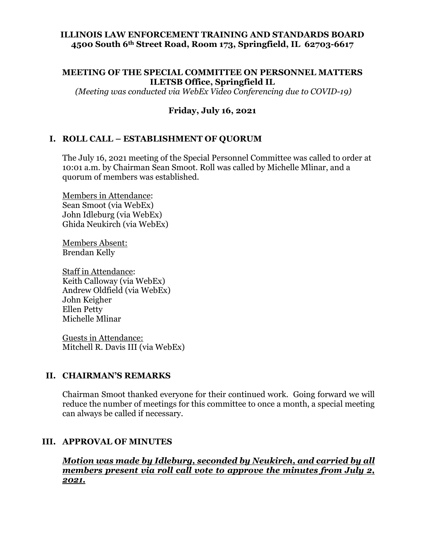#### **ILLINOIS LAW ENFORCEMENT TRAINING AND STANDARDS BOARD 4500 South 6th Street Road, Room 173, Springfield, IL 62703-6617**

#### **MEETING OF THE SPECIAL COMMITTEE ON PERSONNEL MATTERS ILETSB Office, Springfield IL**

*(Meeting was conducted via WebEx Video Conferencing due to COVID-19)*

### **Friday, July 16, 2021**

#### **I. ROLL CALL – ESTABLISHMENT OF QUORUM**

The July 16, 2021 meeting of the Special Personnel Committee was called to order at 10:01 a.m. by Chairman Sean Smoot. Roll was called by Michelle Mlinar, and a quorum of members was established.

Members in Attendance: Sean Smoot (via WebEx) John Idleburg (via WebEx) Ghida Neukirch (via WebEx)

Members Absent: Brendan Kelly

Staff in Attendance: Keith Calloway (via WebEx) Andrew Oldfield (via WebEx) John Keigher Ellen Petty Michelle Mlinar

Guests in Attendance: Mitchell R. Davis III (via WebEx)

#### **II. CHAIRMAN'S REMARKS**

Chairman Smoot thanked everyone for their continued work. Going forward we will reduce the number of meetings for this committee to once a month, a special meeting can always be called if necessary.

#### **III. APPROVAL OF MINUTES**

*Motion was made by Idleburg, seconded by Neukirch, and carried by all members present via roll call vote to approve the minutes from July 2, 2021.*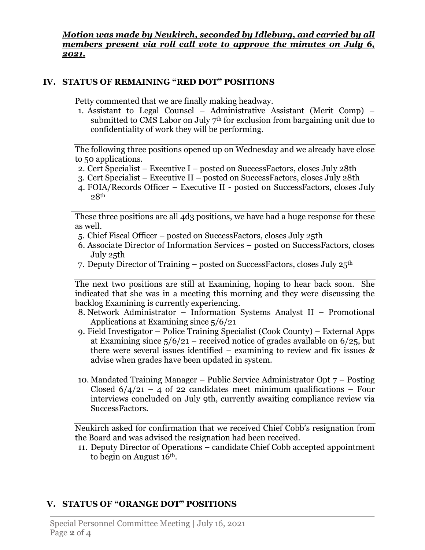*Motion was made by Neukirch, seconded by Idleburg, and carried by all members present via roll call vote to approve the minutes on July 6, 2021.*

### **IV. STATUS OF REMAINING "RED DOT" POSITIONS**

Petty commented that we are finally making headway.

1. Assistant to Legal Counsel – Administrative Assistant (Merit Comp) – submitted to CMS Labor on July  $7<sup>th</sup>$  for exclusion from bargaining unit due to confidentiality of work they will be performing.

The following three positions opened up on Wednesday and we already have close to 50 applications.

- 2. Cert Specialist Executive I posted on SuccessFactors, closes July 28th
- 3. Cert Specialist Executive II posted on SuccessFactors, closes July 28th
- 4. FOIA/Records Officer Executive II posted on SuccessFactors, closes July  $28<sup>th</sup>$

These three positions are all 4d3 positions, we have had a huge response for these as well.

- 5. Chief Fiscal Officer posted on SuccessFactors, closes July 25th
- 6. Associate Director of Information Services posted on SuccessFactors, closes July 25th
- 7. Deputy Director of Training posted on SuccessFactors, closes July 25th

The next two positions are still at Examining, hoping to hear back soon. She indicated that she was in a meeting this morning and they were discussing the backlog Examining is currently experiencing.

- 8. Network Administrator Information Systems Analyst II Promotional Applications at Examining since 5/6/21
- 9. Field Investigator Police Training Specialist (Cook County) External Apps at Examining since  $5/6/21$  – received notice of grades available on  $6/25$ , but there were several issues identified – examining to review and fix issues & advise when grades have been updated in system.
- 10. Mandated Training Manager Public Service Administrator Opt 7 Posting Closed  $6/4/21 - 4$  of 22 candidates meet minimum qualifications – Four interviews concluded on July 9th, currently awaiting compliance review via SuccessFactors.

Neukirch asked for confirmation that we received Chief Cobb's resignation from the Board and was advised the resignation had been received.

11. Deputy Director of Operations – candidate Chief Cobb accepted appointment to begin on August 16th.

# **V. STATUS OF "ORANGE DOT" POSITIONS**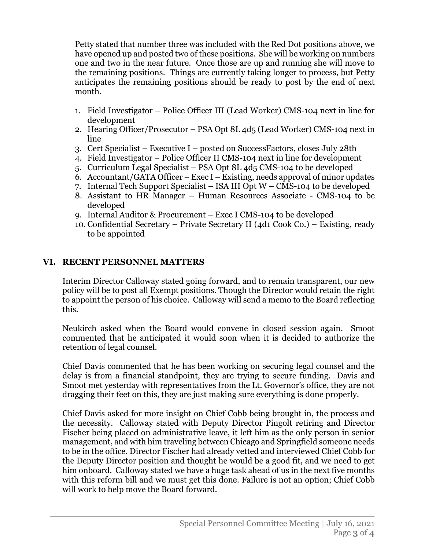Petty stated that number three was included with the Red Dot positions above, we have opened up and posted two of these positions. She will be working on numbers one and two in the near future. Once those are up and running she will move to the remaining positions. Things are currently taking longer to process, but Petty anticipates the remaining positions should be ready to post by the end of next month.

- 1. Field Investigator Police Officer III (Lead Worker) CMS-104 next in line for development
- 2. Hearing Officer/Prosecutor PSA Opt 8L 4d5 (Lead Worker) CMS-104 next in line
- 3. Cert Specialist Executive I posted on SuccessFactors, closes July 28th
- 4. Field Investigator Police Officer II CMS-104 next in line for development
- 5. Curriculum Legal Specialist PSA Opt 8L 4d5 CMS-104 to be developed
- 6. Accountant/GATA Officer Exec I Existing, needs approval of minor updates
- 7. Internal Tech Support Specialist ISA III Opt W CMS-104 to be developed
- 8. Assistant to HR Manager Human Resources Associate CMS-104 to be developed
- 9. Internal Auditor & Procurement Exec I CMS-104 to be developed
- 10. Confidential Secretary Private Secretary II (4d1 Cook Co.) Existing, ready to be appointed

### **VI. RECENT PERSONNEL MATTERS**

Interim Director Calloway stated going forward, and to remain transparent, our new policy will be to post all Exempt positions. Though the Director would retain the right to appoint the person of his choice. Calloway will send a memo to the Board reflecting this.

Neukirch asked when the Board would convene in closed session again. Smoot commented that he anticipated it would soon when it is decided to authorize the retention of legal counsel.

Chief Davis commented that he has been working on securing legal counsel and the delay is from a financial standpoint, they are trying to secure funding. Davis and Smoot met yesterday with representatives from the Lt. Governor's office, they are not dragging their feet on this, they are just making sure everything is done properly.

Chief Davis asked for more insight on Chief Cobb being brought in, the process and the necessity. Calloway stated with Deputy Director Pingolt retiring and Director Fischer being placed on administrative leave, it left him as the only person in senior management, and with him traveling between Chicago and Springfield someone needs to be in the office. Director Fischer had already vetted and interviewed Chief Cobb for the Deputy Director position and thought he would be a good fit, and we need to get him onboard. Calloway stated we have a huge task ahead of us in the next five months with this reform bill and we must get this done. Failure is not an option; Chief Cobb will work to help move the Board forward.